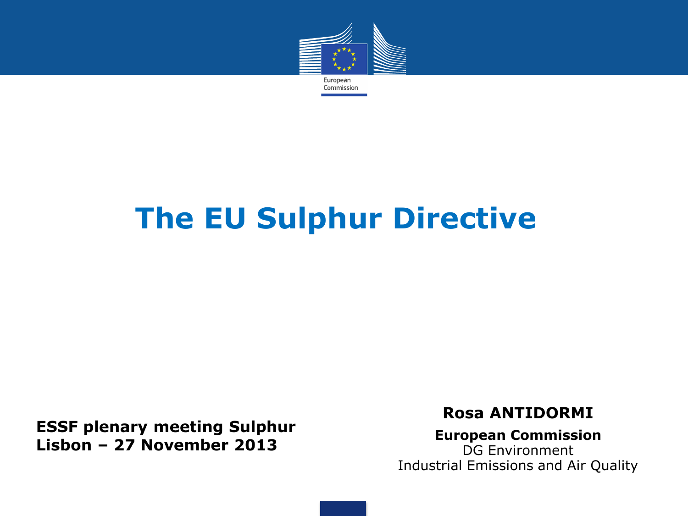

### **The EU Sulphur Directive**

**ESSF plenary meeting Sulphur Lisbon – 27 November 2013** 

#### **Rosa ANTIDORMI**

**European Commission**

DG Environment Industrial Emissions and Air Quality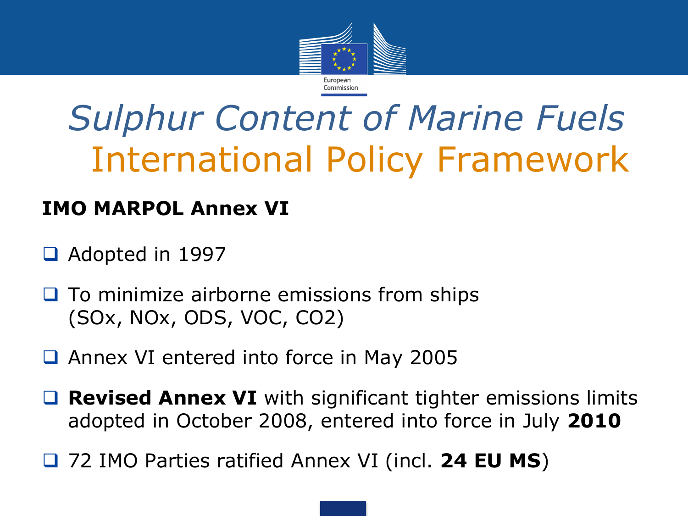

## *Sulphur Content of Marine Fuels* International Policy Framework

#### **IMO MARPOL Annex VI**

- □ Adopted in 1997
- To minimize airborne emissions from ships (SOx, NOx, ODS, VOC, CO2)
- Annex VI entered into force in May 2005
- **Revised Annex VI** with significant tighter emissions limits adopted in October 2008, entered into force in July **2010**
- 72 IMO Parties ratified Annex VI (incl. **24 EU MS**)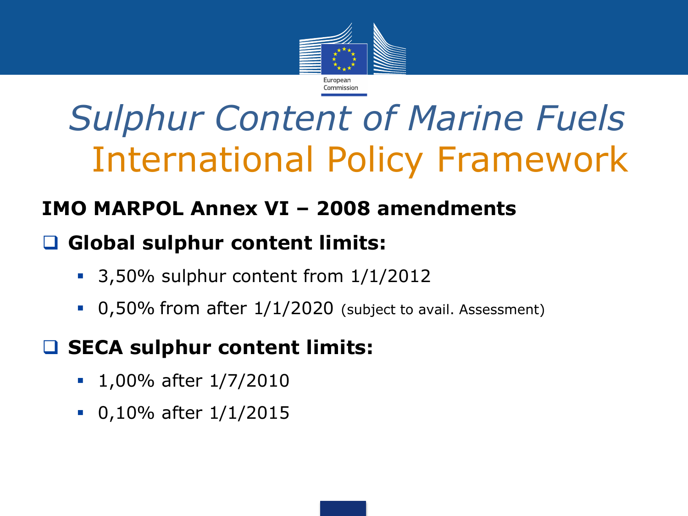

## *Sulphur Content of Marine Fuels* International Policy Framework

### **IMO MARPOL Annex VI – 2008 amendments**

#### **Global sulphur content limits:**

- 3,50% sulphur content from 1/1/2012
- $\blacksquare$  0,50% from after  $1/1/2020$  (subject to avail. Assessment)

### **SECA sulphur content limits:**

- **1,00% after 1/7/2010**
- 0,10% after 1/1/2015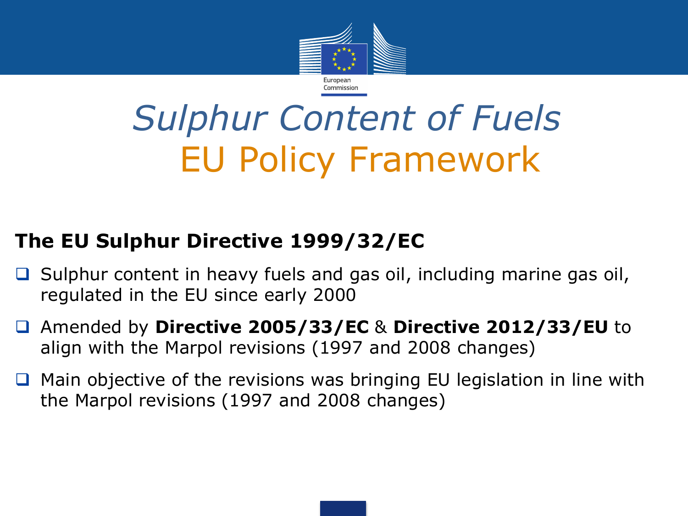

#### **The EU Sulphur Directive 1999/32/EC**

- $\Box$  Sulphur content in heavy fuels and gas oil, including marine gas oil, regulated in the EU since early 2000
- Amended by **Directive 2005/33/EC** & **Directive 2012/33/EU** to align with the Marpol revisions (1997 and 2008 changes)
- $\Box$  Main objective of the revisions was bringing EU legislation in line with the Marpol revisions (1997 and 2008 changes)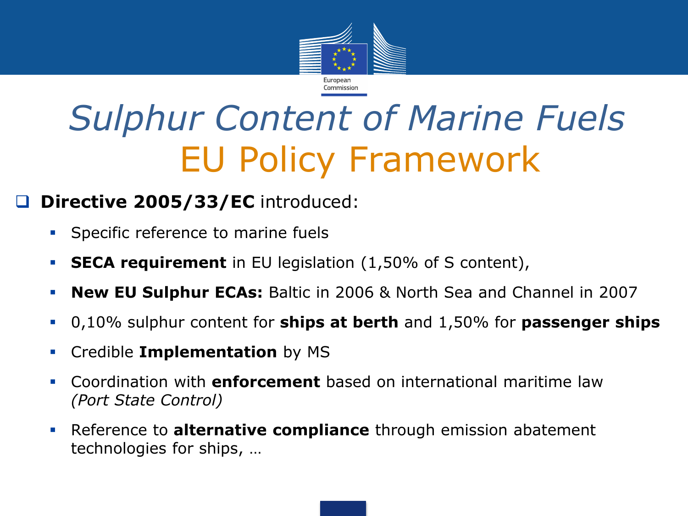

#### **Directive 2005/33/EC** introduced:

- **Specific reference to marine fuels**
- **SECA requirement** in EU legislation (1,50% of S content),
- **New EU Sulphur ECAs:** Baltic in 2006 & North Sea and Channel in 2007
- 0,10% sulphur content for **ships at berth** and 1,50% for **passenger ships**
- **Examplementation** by MS
- Coordination with **enforcement** based on international maritime law *(Port State Control)*
- Reference to **alternative compliance** through emission abatement technologies for ships, …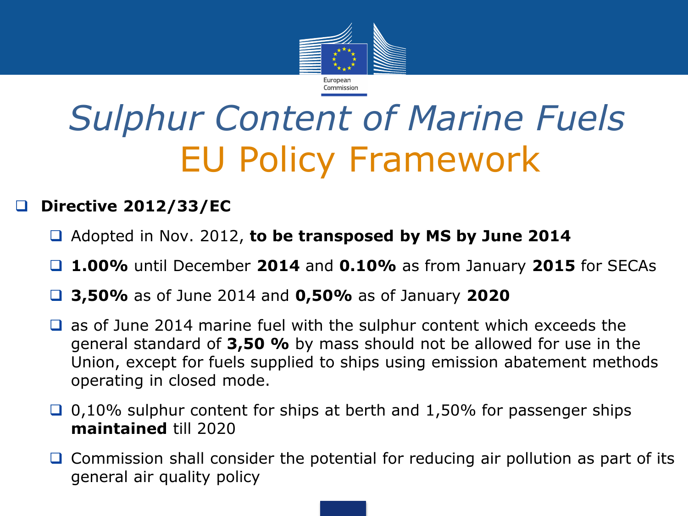

#### **Directive 2012/33/EC**

- Adopted in Nov. 2012, **to be transposed by MS by June 2014**
- **1.00%** until December **2014** and **0.10%** as from January **2015** for SECAs
- **3,50%** as of June 2014 and **0,50%** as of January **2020**
- $\Box$  as of June 2014 marine fuel with the sulphur content which exceeds the general standard of **3,50 %** by mass should not be allowed for use in the Union, except for fuels supplied to ships using emission abatement methods operating in closed mode.
- $\Box$  0,10% sulphur content for ships at berth and 1,50% for passenger ships **maintained** till 2020
- $\Box$  Commission shall consider the potential for reducing air pollution as part of its general air quality policy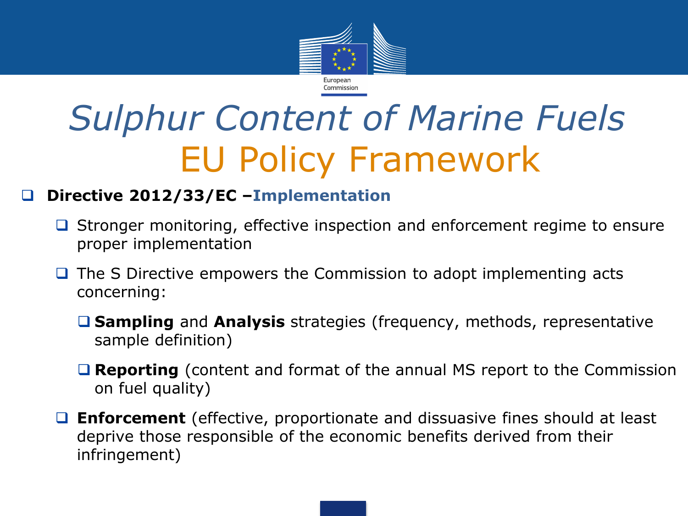

#### **Directive 2012/33/EC –Implementation**

- $\Box$  Stronger monitoring, effective inspection and enforcement regime to ensure proper implementation
- $\Box$  The S Directive empowers the Commission to adopt implementing acts concerning:
	- **Sampling** and **Analysis** strategies (frequency, methods, representative sample definition)
	- **Reporting** (content and format of the annual MS report to the Commission on fuel quality)
- **Enforcement** (effective, proportionate and dissuasive fines should at least deprive those responsible of the economic benefits derived from their infringement)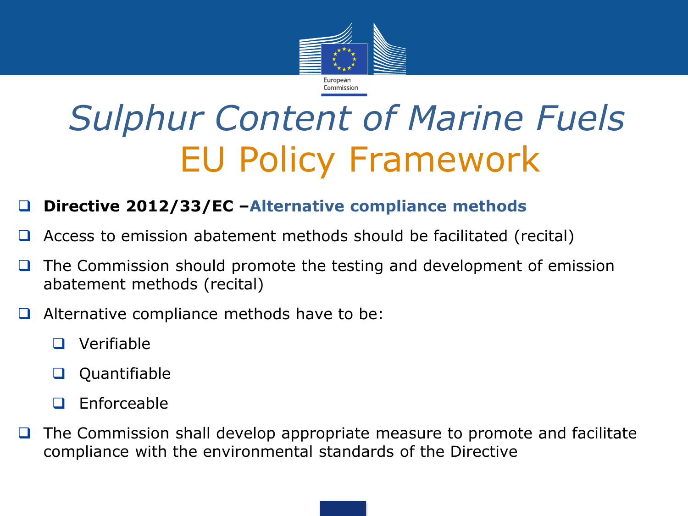

#### **Directive 2012/33/EC –Alternative compliance methods**

- $\Box$  Access to emission abatement methods should be facilitated (recital)
- $\Box$  The Commission should promote the testing and development of emission abatement methods (recital)
- $\Box$  Alternative compliance methods have to be:
	- **D** Verifiable
	- **Quantifiable**
	- **Enforceable**
- $\Box$  The Commission shall develop appropriate measure to promote and facilitate compliance with the environmental standards of the Directive